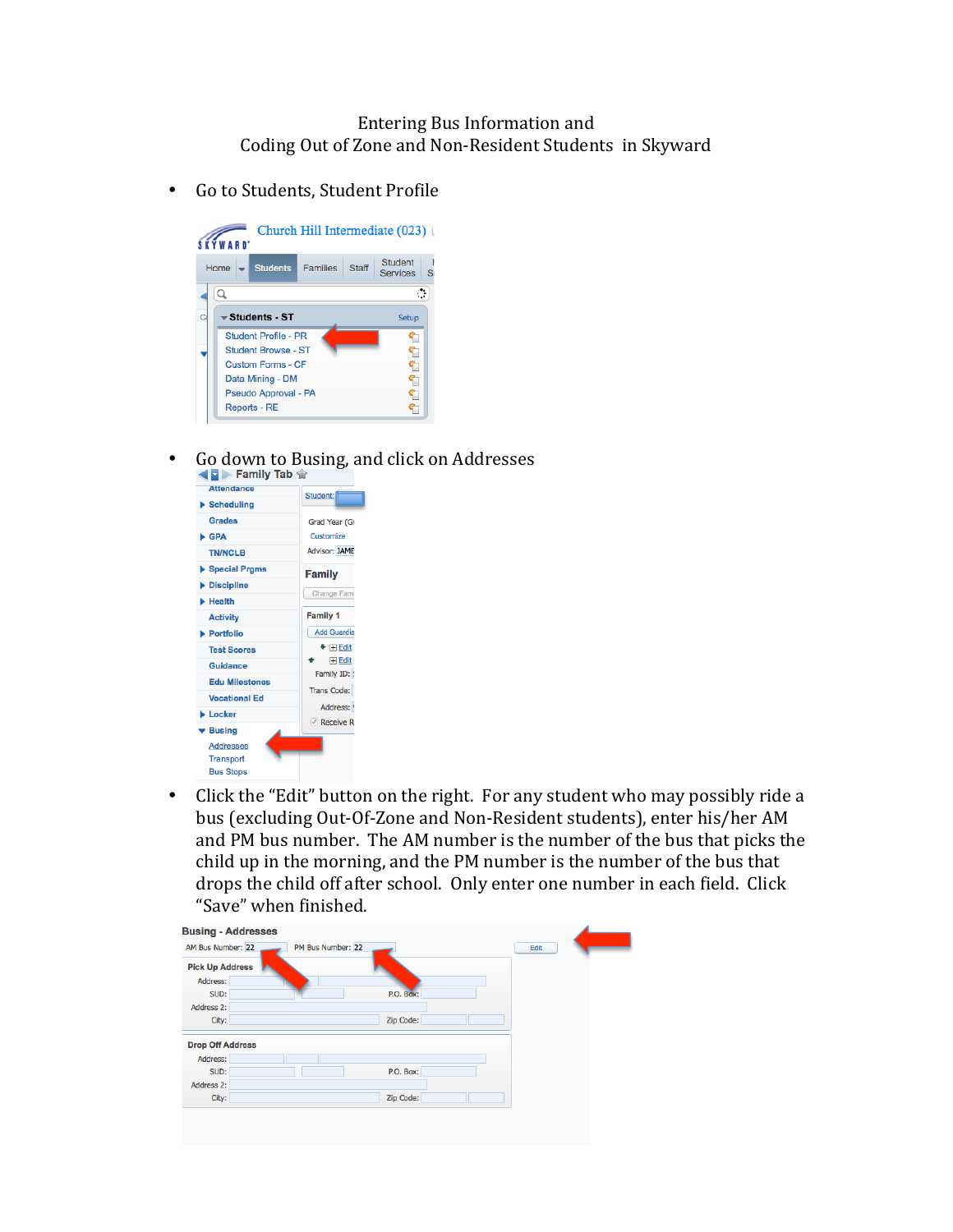## Entering Bus Information and Coding Out of Zone and Non-Resident Students in Skyward

• Go to Students, Student Profile



• Go down to Busing, and click on Addresses

| <b>Attendance</b>         | Student:                  |
|---------------------------|---------------------------|
| ▶ Scheduling              |                           |
| Grades                    | Grad Year (Gr             |
| $\blacktriangleright$ GPA | Customize                 |
| <b>TN/NCLB</b>            | <b>Advisor: JAME</b>      |
| Special Prgms             | <b>Family</b>             |
| <b>Discipline</b>         | Change Fami               |
| Health                    |                           |
| <b>Activity</b>           | <b>Family 1</b>           |
| Portfolio                 | <b>Add Guardia</b>        |
| <b>Test Scores</b>        | $\bullet$ $\boxplus$ Edit |
| Guidance                  | $H$ Edit<br>Family ID:    |
| <b>Edu Milestones</b>     |                           |
| <b>Vocational Ed</b>      | <b>Trans Code:</b>        |
| <b>Locker</b>             | Address:                  |
| ▼ Busing                  | $\vee$ Receive R          |
| <b>Addresses</b>          |                           |
| <b>Transport</b>          |                           |
| <b>Bus Stops</b>          |                           |

• Click the "Edit" button on the right. For any student who may possibly ride a bus (excluding Out-Of-Zone and Non-Resident students), enter his/her AM and PM bus number. The AM number is the number of the bus that picks the child up in the morning, and the PM number is the number of the bus that drops the child off after school. Only enter one number in each field. Click "Save" when finished.

| AM Bus Number: 22<br>PM Bus Number: 22<br>Edit<br><b>Pick Up Address</b><br>Address:<br>SUD:<br>P.O. Box:<br>Address 2:<br>Zip Code:<br>City:<br><b>Drop Off Address</b><br>Address:<br>SUD:<br>P.O. Box:<br>Address 2:<br>Zip Code:<br>City: | <b>Busing - Addresses</b> |  |  |  |
|-----------------------------------------------------------------------------------------------------------------------------------------------------------------------------------------------------------------------------------------------|---------------------------|--|--|--|
|                                                                                                                                                                                                                                               |                           |  |  |  |
|                                                                                                                                                                                                                                               |                           |  |  |  |
|                                                                                                                                                                                                                                               |                           |  |  |  |
|                                                                                                                                                                                                                                               |                           |  |  |  |
|                                                                                                                                                                                                                                               |                           |  |  |  |
|                                                                                                                                                                                                                                               |                           |  |  |  |
|                                                                                                                                                                                                                                               |                           |  |  |  |
|                                                                                                                                                                                                                                               |                           |  |  |  |
|                                                                                                                                                                                                                                               |                           |  |  |  |
|                                                                                                                                                                                                                                               |                           |  |  |  |
|                                                                                                                                                                                                                                               |                           |  |  |  |
|                                                                                                                                                                                                                                               |                           |  |  |  |
|                                                                                                                                                                                                                                               |                           |  |  |  |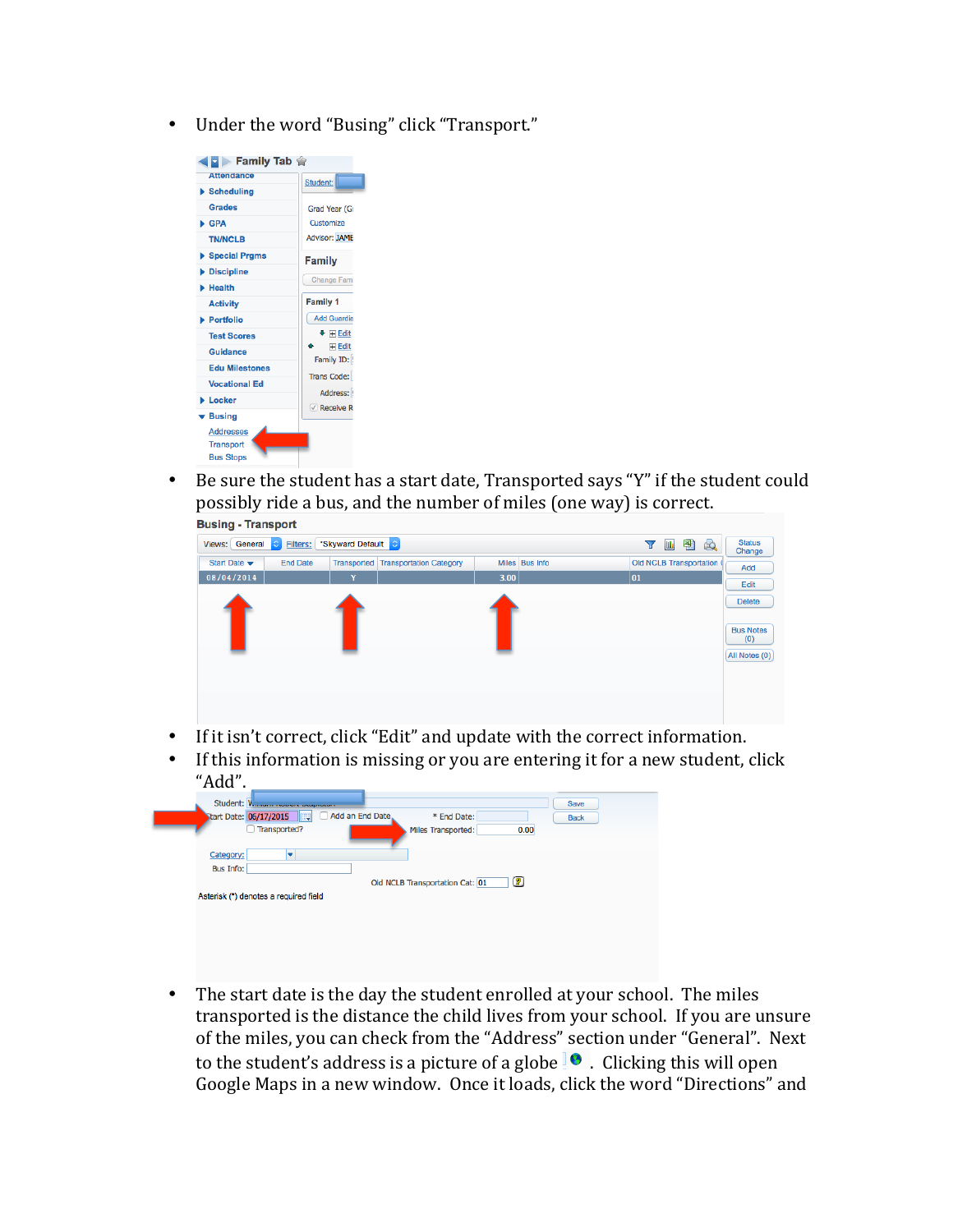• Under the word "Busing" click "Transport."



ſ

• Be sure the student has a start date, Transported says "Y" if the student could possibly ride a bus, and the number of miles (one way) is correct.



- If it isn't correct, click "Edit" and update with the correct information.
- If this information is missing or you are entering it for a new student, click "Add".

| Student: V.            | and a statement of the company of the company  | Save        |
|------------------------|------------------------------------------------|-------------|
| Start Date: 06/17/2015 | Add an End Date<br>* End Date:<br><b>IFED</b>  | <b>Back</b> |
|                        | Transported?<br>0.00<br>Miles Transported:     |             |
|                        |                                                |             |
| Category:              |                                                |             |
| <b>Bus Info:</b>       |                                                |             |
|                        | $\circledR$<br>Old NCLB Transportation Cat: 01 |             |
|                        | Asterisk (*) denotes a required field          |             |
|                        |                                                |             |

• The start date is the day the student enrolled at your school. The miles transported is the distance the child lives from your school. If you are unsure of the miles, you can check from the "Address" section under "General". Next to the student's address is a picture of a globe  $\blacksquare$ . Clicking this will open Google Maps in a new window. Once it loads, click the word "Directions" and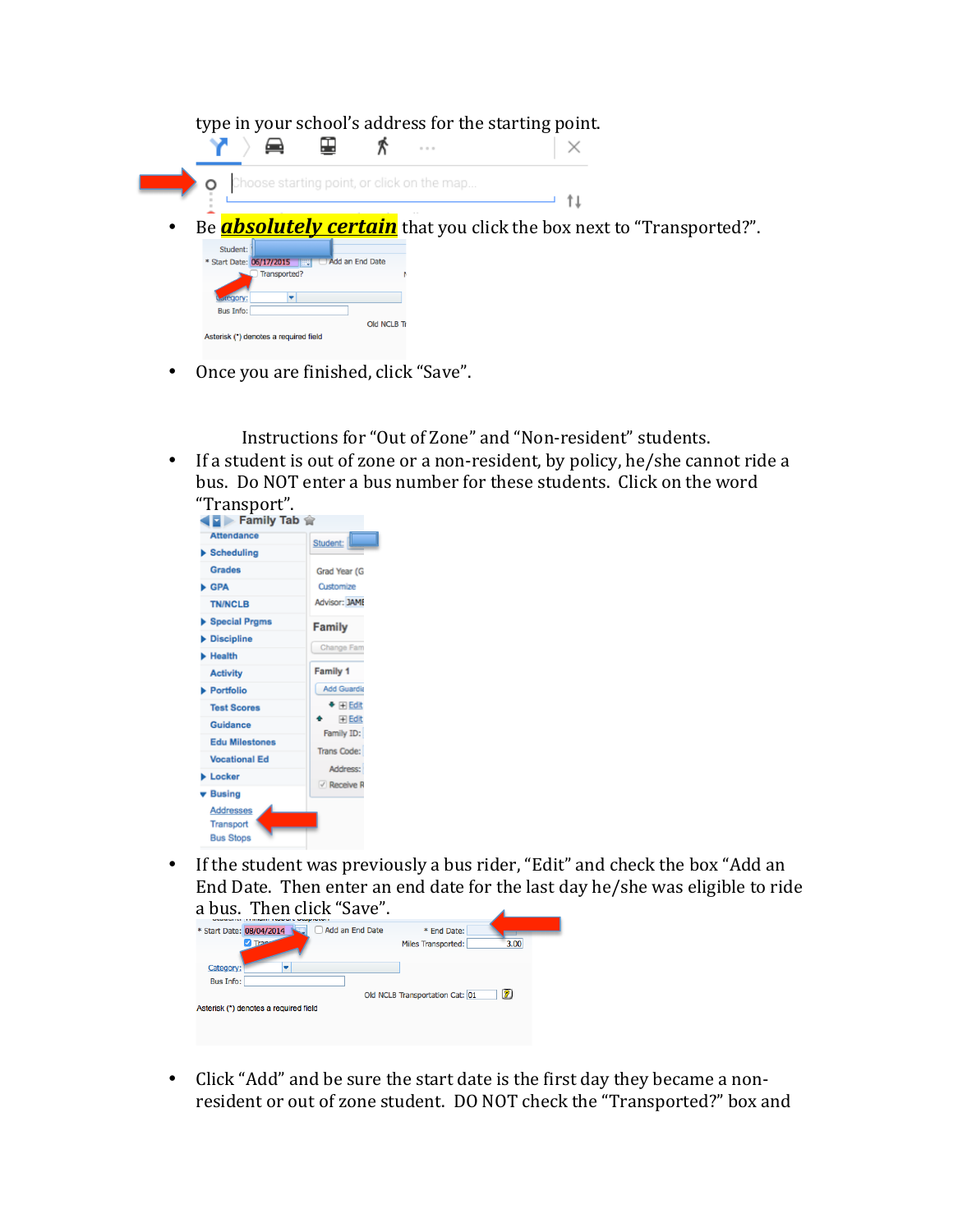| type in your school's address for the starting point.     |                                                                             |
|-----------------------------------------------------------|-----------------------------------------------------------------------------|
|                                                           | $-11.1$                                                                     |
| Choose starting point, or click on the map                |                                                                             |
|                                                           |                                                                             |
| $\bullet$                                                 | Be <b>absolutely certain</b> that you click the box next to "Transported?". |
| Student:                                                  |                                                                             |
| Add an End Date<br>* Start Date: 06/17/2015<br><b>FEE</b> |                                                                             |
| Transported?                                              |                                                                             |
|                                                           |                                                                             |
| <b>Bus Info:</b>                                          |                                                                             |
| Old NCLB Tr                                               |                                                                             |
| Asterisk (*) denotes a required field                     |                                                                             |

• Once you are finished, click "Save".

Instructions for "Out of Zone" and "Non-resident" students.

• If a student is out of zone or a non-resident, by policy, he/she cannot ride a bus. Do NOT enter a bus number for these students. Click on the word



• If the student was previously a bus rider, "Edit" and check the box "Add an End Date. Then enter an end date for the last day he/she was eligible to ride a bus. Then click "Save"

| a vus.<br><b>ILICII UIUN</b> JAVU.               |                                                  |
|--------------------------------------------------|--------------------------------------------------|
| * Start Date: 08/04/2014<br>Add an End Date<br>æ | * End Date:<br>3.00<br><b>Miles Transported:</b> |
| Category:<br><b>Bus Info:</b>                    |                                                  |
| Asterisk (*) denotes a required field            | 12)<br>Old NCLB Transportation Cat: 01           |

• Click "Add" and be sure the start date is the first day they became a nonresident or out of zone student. DO NOT check the "Transported?" box and